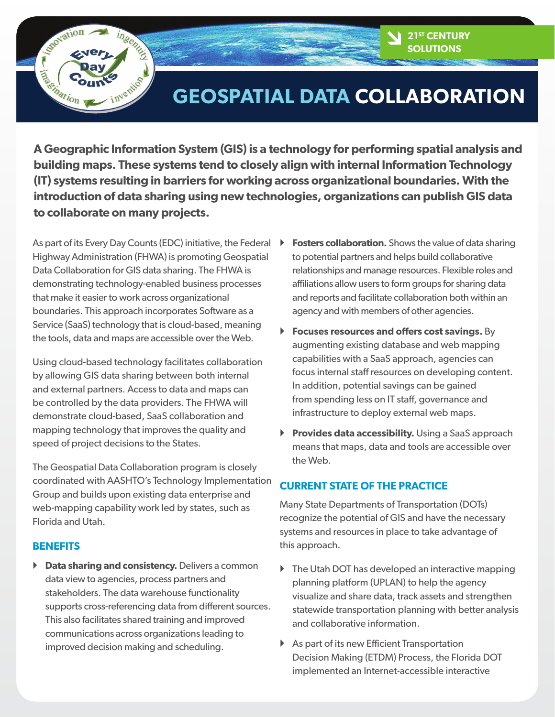# **Reportion** ngenuz **Electric Co.**

# **GEOSPATIAL DATA COLLABORATION**

**A Geographic Information System (GIS) is a technology for performing spatial analysis and building maps. These systems tend to closely align with internal Information Technology (IT) systems resulting in barriers for working across organizational boundaries. With the introduction of data sharing using new technologies, organizations can publish GIS data to collaborate on many projects.** 

As part of its Every Day Counts (EDC) initiative, the Federal Highway Administration (FHWA) is promoting Geospatial Data Collaboration for GIS data sharing. The FHWA is demonstrating technology-enabled business processes that make it easier to work across organizational boundaries. This approach incorporates Software as a Service (SaaS) technology that is cloud-based, meaning the tools, data and maps are accessible over the Web.

Using cloud-based technology facilitates collaboration by allowing GIS data sharing between both internal and external partners. Access to data and maps can be controlled by the data providers. The FHWA will demonstrate cloud-based, SaaS collaboration and mapping technology that improves the quality and speed of project decisions to the States.

The Geospatial Data Collaboration program is closely coordinated with AASHTO's Technology Implementation Group and builds upon existing data enterprise and web-mapping capability work led by states, such as Florida and Utah.

## **BENEFITS**

 $\triangleright$  **Data sharing and consistency.** Delivers a common data view to agencies, process partners and stakeholders. The data warehouse functionality supports cross-referencing data from different sources. This also facilitates shared training and improved communications across organizations leading to improved decision making and scheduling.

**Fosters collaboration.** Shows the value of data sharing to potential partners and helps build collaborative relationships and manage resources. Flexible roles and affiliations allow users to form groups for sharing data and reports and facilitate collaboration both within an agency and with members of other agencies.

**21st CENTURY SOLUTIONS**

- ` **Focuses resources and offers cost savings.** By augmenting existing database and web mapping capabilities with a SaaS approach, agencies can focus internal staff resources on developing content. In addition, potential savings can be gained from spending less on IT staff, governance and infrastructure to deploy external web maps.
- **Provides data accessibility.** Using a SaaS approach means that maps, data and tools are accessible over the Web.

## **CURRENT STATE OF THE PRACTICE**

Many State Departments of Transportation (DOTs) recognize the potential of GIS and have the necessary systems and resources in place to take advantage of this approach.

- $\triangleright$  The Utah DOT has developed an interactive mapping planning platform (UPLAN) to help the agency visualize and share data, track assets and strengthen statewide transportation planning with better analysis and collaborative information.
- $\triangleright$  As part of its new Efficient Transportation Decision Making (ETDM) Process, the Florida DOT implemented an Internet-accessible interactive